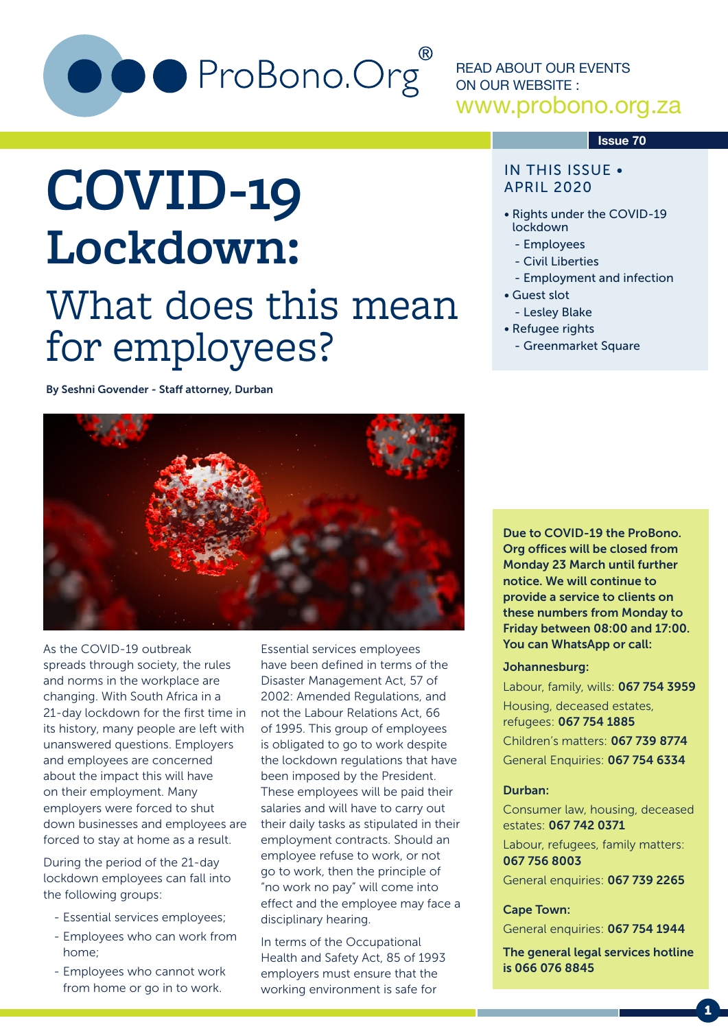

READ ABOUT OUR EVENTS ON OUR WEBSITE : www.probono.org.za

#### **Issue 70**

#### IN THIS ISSUE • APRIL 2020

- Rights under the COVID-19 lockdown
	- Employees
	- Civil Liberties
	- Employment and infection
- Guest slot
	- Lesley Blake
- Refugee rights
	- Greenmarket Square

# **COVID-19 Lockdown:** What does this mean for employees?

By Seshni Govender - Staff attorney, Durban



As the COVID-19 outbreak spreads through society, the rules and norms in the workplace are changing. With South Africa in a 21-day lockdown for the first time in its history, many people are left with unanswered questions. Employers and employees are concerned about the impact this will have on their employment. Many employers were forced to shut down businesses and employees are forced to stay at home as a result.

During the period of the 21-day lockdown employees can fall into the following groups:

- Essential services employees;
- Employees who can work from home;
- Employees who cannot work from home or go in to work.

Essential services employees have been defined in terms of the Disaster Management Act, 57 of 2002: Amended Regulations, and not the Labour Relations Act, 66 of 1995. This group of employees is obligated to go to work despite the lockdown regulations that have been imposed by the President. These employees will be paid their salaries and will have to carry out their daily tasks as stipulated in their employment contracts. Should an employee refuse to work, or not go to work, then the principle of "no work no pay" will come into effect and the employee may face a disciplinary hearing.

In terms of the Occupational Health and Safety Act, 85 of 1993 employers must ensure that the working environment is safe for

Due to COVID-19 the ProBono. Org offices will be closed from Monday 23 March until further notice. We will continue to provide a service to clients on these numbers from Monday to Friday between 08:00 and 17:00. You can WhatsApp or call:

#### Johannesburg:

Labour, family, wills: 067 754 3959 Housing, deceased estates, refugees: 067 754 1885

Children's matters: 067 739 8774 General Enquiries: 067 754 6334

#### Durban:

Consumer law, housing, deceased estates: 067 742 0371

Labour, refugees, family matters: 067 756 8003

General enquiries: 067 739 2265

#### Cape Town:

General enquiries: 067 754 1944

The general legal services hotline is 066 076 8845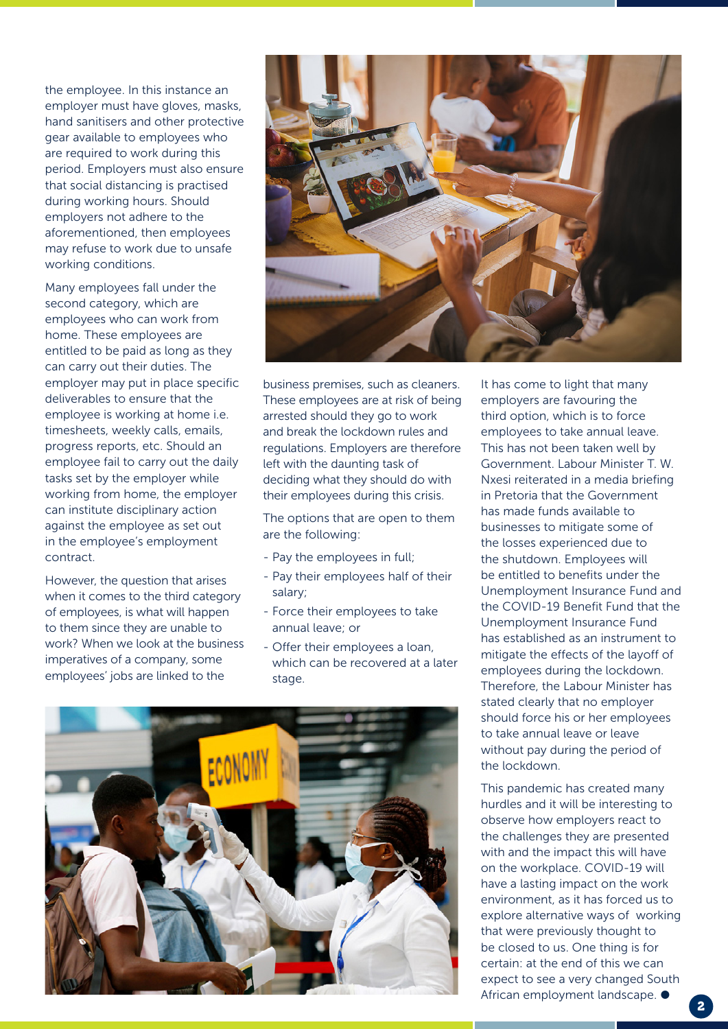the employee. In this instance an employer must have gloves, masks, hand sanitisers and other protective gear available to employees who are required to work during this period. Employers must also ensure that social distancing is practised during working hours. Should employers not adhere to the aforementioned, then employees may refuse to work due to unsafe working conditions.

Many employees fall under the second category, which are employees who can work from home. These employees are entitled to be paid as long as they can carry out their duties. The employer may put in place specific deliverables to ensure that the employee is working at home i.e. timesheets, weekly calls, emails, progress reports, etc. Should an employee fail to carry out the daily tasks set by the employer while working from home, the employer can institute disciplinary action against the employee as set out in the employee's employment contract.

However, the question that arises when it comes to the third category of employees, is what will happen to them since they are unable to work? When we look at the business imperatives of a company, some employees' jobs are linked to the



business premises, such as cleaners. These employees are at risk of being arrested should they go to work and break the lockdown rules and regulations. Employers are therefore left with the daunting task of deciding what they should do with their employees during this crisis.

The options that are open to them are the following:

- Pay the employees in full;
- Pay their employees half of their salary;
- Force their employees to take annual leave; or
- Offer their employees a loan, which can be recovered at a later stage.



It has come to light that many employers are favouring the third option, which is to force employees to take annual leave. This has not been taken well by Government. Labour Minister T. W. Nxesi reiterated in a media briefing in Pretoria that the Government has made funds available to businesses to mitigate some of the losses experienced due to the shutdown. Employees will be entitled to benefits under the Unemployment Insurance Fund and the COVID-19 Benefit Fund that the Unemployment Insurance Fund has established as an instrument to mitigate the effects of the layoff of employees during the lockdown. Therefore, the Labour Minister has stated clearly that no employer should force his or her employees to take annual leave or leave without pay during the period of the lockdown.

This pandemic has created many hurdles and it will be interesting to observe how employers react to the challenges they are presented with and the impact this will have on the workplace. COVID-19 will have a lasting impact on the work environment, as it has forced us to explore alternative ways of working that were previously thought to be closed to us. One thing is for certain: at the end of this we can expect to see a very changed South African employment landscape.  $\bullet$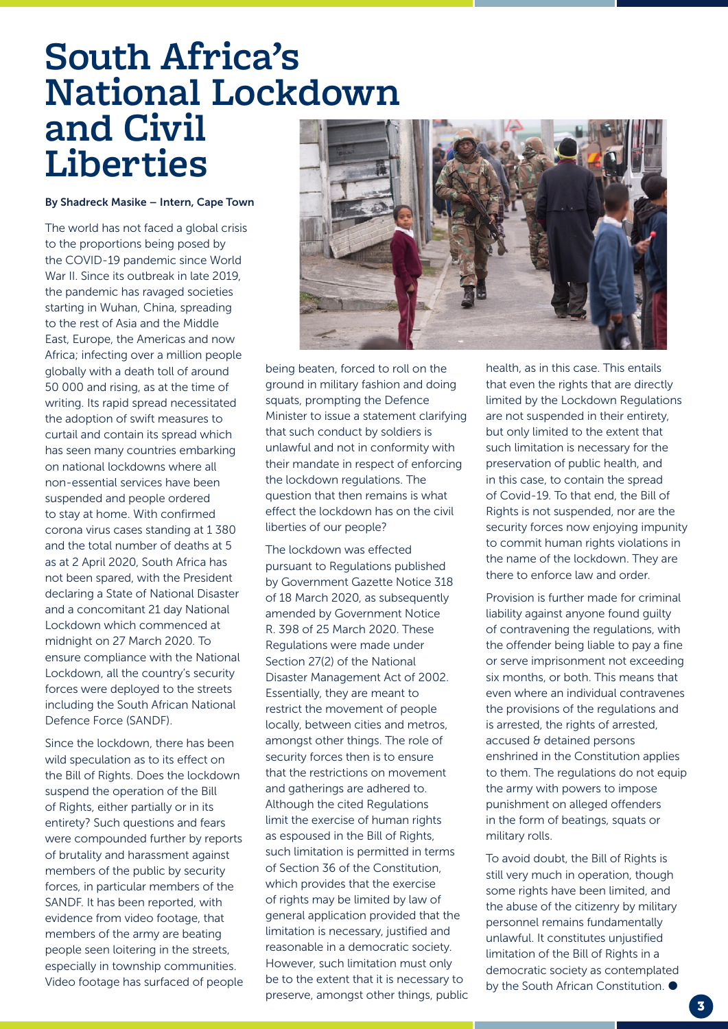### **South Africa's National Lockdown and Civil Liberties**

#### By Shadreck Masike – Intern, Cape Town

The world has not faced a global crisis to the proportions being posed by the COVID-19 pandemic since World War II. Since its outbreak in late 2019, the pandemic has ravaged societies starting in Wuhan, China, spreading to the rest of Asia and the Middle East, Europe, the Americas and now Africa; infecting over a million people globally with a death toll of around 50 000 and rising, as at the time of writing. Its rapid spread necessitated the adoption of swift measures to curtail and contain its spread which has seen many countries embarking on national lockdowns where all non-essential services have been suspended and people ordered to stay at home. With confirmed corona virus cases standing at 1 380 and the total number of deaths at 5 as at 2 April 2020, South Africa has not been spared, with the President declaring a State of National Disaster and a concomitant 21 day National Lockdown which commenced at midnight on 27 March 2020. To ensure compliance with the National Lockdown, all the country's security forces were deployed to the streets including the South African National Defence Force (SANDF).

Since the lockdown, there has been wild speculation as to its effect on the Bill of Rights. Does the lockdown suspend the operation of the Bill of Rights, either partially or in its entirety? Such questions and fears were compounded further by reports of brutality and harassment against members of the public by security forces, in particular members of the SANDF. It has been reported, with evidence from video footage, that members of the army are beating people seen loitering in the streets, especially in township communities. Video footage has surfaced of people



being beaten, forced to roll on the ground in military fashion and doing squats, prompting the Defence Minister to issue a statement clarifying that such conduct by soldiers is unlawful and not in conformity with their mandate in respect of enforcing the lockdown regulations. The question that then remains is what effect the lockdown has on the civil liberties of our people?

The lockdown was effected pursuant to Regulations published by Government Gazette Notice 318 of 18 March 2020, as subsequently amended by Government Notice R. 398 of 25 March 2020. These Regulations were made under Section 27(2) of the National Disaster Management Act of 2002. Essentially, they are meant to restrict the movement of people locally, between cities and metros, amongst other things. The role of security forces then is to ensure that the restrictions on movement and gatherings are adhered to. Although the cited Regulations limit the exercise of human rights as espoused in the Bill of Rights, such limitation is permitted in terms of Section 36 of the Constitution, which provides that the exercise of rights may be limited by law of general application provided that the limitation is necessary, justified and reasonable in a democratic society. However, such limitation must only be to the extent that it is necessary to preserve, amongst other things, public health, as in this case. This entails that even the rights that are directly limited by the Lockdown Regulations are not suspended in their entirety, but only limited to the extent that such limitation is necessary for the preservation of public health, and in this case, to contain the spread of Covid-19. To that end, the Bill of Rights is not suspended, nor are the security forces now enjoying impunity to commit human rights violations in the name of the lockdown. They are there to enforce law and order.

Provision is further made for criminal liability against anyone found guilty of contravening the regulations, with the offender being liable to pay a fine or serve imprisonment not exceeding six months, or both. This means that even where an individual contravenes the provisions of the regulations and is arrested, the rights of arrested, accused & detained persons enshrined in the Constitution applies to them. The regulations do not equip the army with powers to impose punishment on alleged offenders in the form of beatings, squats or military rolls.

To avoid doubt, the Bill of Rights is still very much in operation, though some rights have been limited, and the abuse of the citizenry by military personnel remains fundamentally unlawful. It constitutes unjustified limitation of the Bill of Rights in a democratic society as contemplated by the South African Constitution.  $\bullet$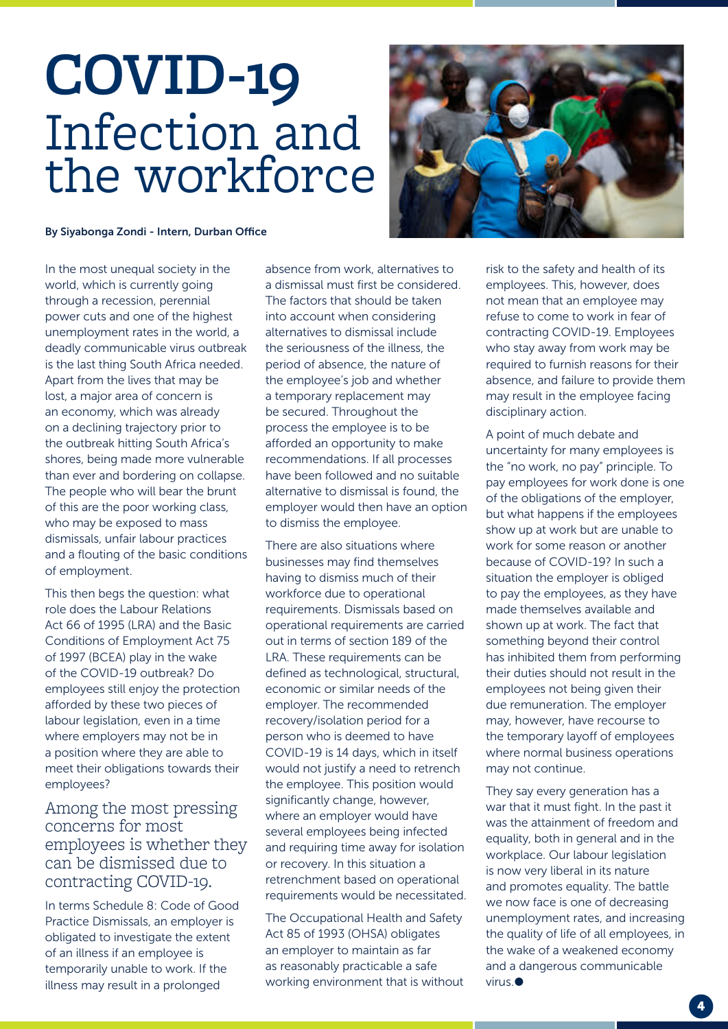# **COVID-19** Infection and the workforce



#### By Siyabonga Zondi - Intern, Durban Office

In the most unequal society in the world, which is currently going through a recession, perennial power cuts and one of the highest unemployment rates in the world, a deadly communicable virus outbreak is the last thing South Africa needed. Apart from the lives that may be lost, a major area of concern is an economy, which was already on a declining trajectory prior to the outbreak hitting South Africa's shores, being made more vulnerable than ever and bordering on collapse. The people who will bear the brunt of this are the poor working class, who may be exposed to mass dismissals, unfair labour practices and a flouting of the basic conditions of employment.

This then begs the question: what role does the Labour Relations Act 66 of 1995 (LRA) and the Basic Conditions of Employment Act 75 of 1997 (BCEA) play in the wake of the COVID-19 outbreak? Do employees still enjoy the protection afforded by these two pieces of labour legislation, even in a time where employers may not be in a position where they are able to meet their obligations towards their employees?

Among the most pressing concerns for most employees is whether they can be dismissed due to contracting COVID-19.

In terms Schedule 8: Code of Good Practice Dismissals, an employer is obligated to investigate the extent of an illness if an employee is temporarily unable to work. If the illness may result in a prolonged

absence from work, alternatives to a dismissal must first be considered. The factors that should be taken into account when considering alternatives to dismissal include the seriousness of the illness, the period of absence, the nature of the employee's job and whether a temporary replacement may be secured. Throughout the process the employee is to be afforded an opportunity to make recommendations. If all processes have been followed and no suitable alternative to dismissal is found, the employer would then have an option to dismiss the employee.

There are also situations where businesses may find themselves having to dismiss much of their workforce due to operational requirements. Dismissals based on operational requirements are carried out in terms of section 189 of the LRA. These requirements can be defined as technological, structural, economic or similar needs of the employer. The recommended recovery/isolation period for a person who is deemed to have COVID-19 is 14 days, which in itself would not justify a need to retrench the employee. This position would significantly change, however, where an employer would have several employees being infected and requiring time away for isolation or recovery. In this situation a retrenchment based on operational requirements would be necessitated.

The Occupational Health and Safety Act 85 of 1993 (OHSA) obligates an employer to maintain as far as reasonably practicable a safe working environment that is without risk to the safety and health of its employees. This, however, does not mean that an employee may refuse to come to work in fear of contracting COVID-19. Employees who stay away from work may be required to furnish reasons for their absence, and failure to provide them may result in the employee facing disciplinary action.

A point of much debate and uncertainty for many employees is the "no work, no pay" principle. To pay employees for work done is one of the obligations of the employer, but what happens if the employees show up at work but are unable to work for some reason or another because of COVID-19? In such a situation the employer is obliged to pay the employees, as they have made themselves available and shown up at work. The fact that something beyond their control has inhibited them from performing their duties should not result in the employees not being given their due remuneration. The employer may, however, have recourse to the temporary layoff of employees where normal business operations may not continue.

They say every generation has a war that it must fight. In the past it was the attainment of freedom and equality, both in general and in the workplace. Our labour legislation is now very liberal in its nature and promotes equality. The battle we now face is one of decreasing unemployment rates, and increasing the quality of life of all employees, in the wake of a weakened economy and a dangerous communicable virus.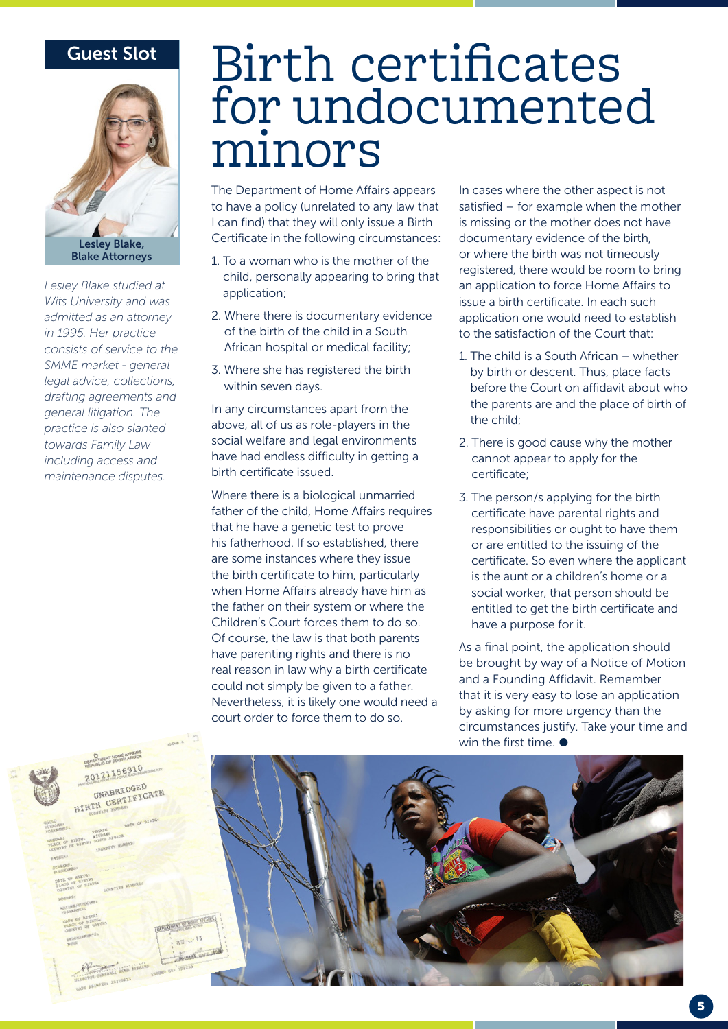#### Guest Slot



*Lesley Blake studied at Wits University and was admitted as an attorney in 1995. Her practice consists of service to the SMME market - general legal advice, collections, drafting agreements and general litigation. The practice is also slanted towards Family Law including access and maintenance disputes.*

## Birth certificates for undocumented minors

The Department of Home Affairs appears to have a policy (unrelated to any law that I can find) that they will only issue a Birth Certificate in the following circumstances:

- 1. To a woman who is the mother of the child, personally appearing to bring that application;
- 2. Where there is documentary evidence of the birth of the child in a South African hospital or medical facility;
- 3. Where she has registered the birth within seven days.

In any circumstances apart from the above, all of us as role-players in the social welfare and legal environments have had endless difficulty in getting a birth certificate issued.

Where there is a biological unmarried father of the child, Home Affairs requires that he have a genetic test to prove his fatherhood. If so established, there are some instances where they issue the birth certificate to him, particularly when Home Affairs already have him as the father on their system or where the Children's Court forces them to do so. Of course, the law is that both parents have parenting rights and there is no real reason in law why a birth certificate could not simply be given to a father. Nevertheless, it is likely one would need a court order to force them to do so.

In cases where the other aspect is not satisfied – for example when the mother is missing or the mother does not have documentary evidence of the birth, or where the birth was not timeously registered, there would be room to bring an application to force Home Affairs to issue a birth certificate. In each such application one would need to establish to the satisfaction of the Court that:

- 1. The child is a South African whether by birth or descent. Thus, place facts before the Court on affidavit about who the parents are and the place of birth of the child;
- 2. There is good cause why the mother cannot appear to apply for the certificate;
- 3. The person/s applying for the birth certificate have parental rights and responsibilities or ought to have them or are entitled to the issuing of the certificate. So even where the applicant is the aunt or a children's home or a social worker, that person should be entitled to get the birth certificate and have a purpose for it.

As a final point, the application should be brought by way of a Notice of Motion and a Founding Affidavit. Remember that it is very easy to lose an application by asking for more urgency than the circumstances justify. Take your time and win the first time.  $\bullet$